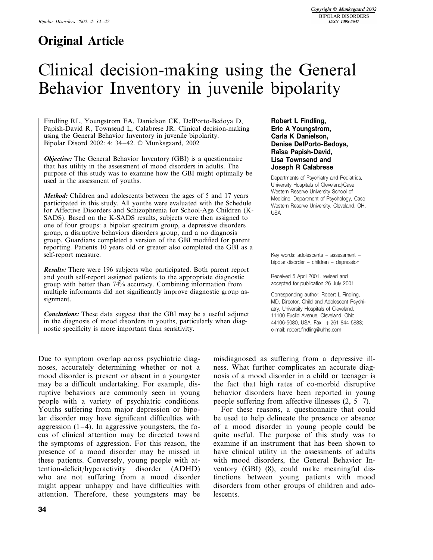# **Original Article**

# Clinical decision-making using the General Behavior Inventory in juvenile bipolarity

Findling RL, Youngstrom EA, Danielson CK, DelPorto-Bedoya D, Papish-David R, Townsend L, Calabrese JR. Clinical decision-making using the General Behavior Inventory in juvenile bipolarity. Bipolar Disord 2002: 4: 34–42. © Munksgaard, 2002

*Objective:* The General Behavior Inventory (GBI) is a questionnaire that has utility in the assessment of mood disorders in adults. The purpose of this study was to examine how the GBI might optimally be used in the assessment of youths.

*Method***:** Children and adolescents between the ages of 5 and 17 years participated in this study. All youths were evaluated with the Schedule for Affective Disorders and Schizophrenia for School-Age Children (K-SADS). Based on the K-SADS results, subjects were then assigned to one of four groups: a bipolar spectrum group, a depressive disorders group, a disruptive behaviors disorders group, and a no diagnosis group. Guardians completed a version of the GBI modified for parent reporting. Patients 10 years old or greater also completed the GBI as a self-report measure.

*Results***:** There were 196 subjects who participated. Both parent report and youth self-report assigned patients to the appropriate diagnostic group with better than 74% accuracy. Combining information from multiple informants did not significantly improve diagnostic group assignment.

*Conclusions***:** These data suggest that the GBI may be a useful adjunct in the diagnosis of mood disorders in youths, particularly when diagnostic specificity is more important than sensitivity.

Due to symptom overlap across psychiatric diagnoses, accurately determining whether or not a mood disorder is present or absent in a youngster may be a difficult undertaking. For example, disruptive behaviors are commonly seen in young people with a variety of psychiatric conditions. Youths suffering from major depression or bipolar disorder may have significant difficulties with aggression  $(1-4)$ . In aggressive youngsters, the focus of clinical attention may be directed toward the symptoms of aggression. For this reason, the presence of a mood disorder may be missed in these patients. Conversely, young people with attention-deficit/hyperactivity disorder (ADHD) who are not suffering from a mood disorder might appear unhappy and have difficulties with attention. Therefore, these youngsters may be

**Robert L Findling, Eric A Youngstrom, Carla K Danielson, Denise DelPorto-Bedoya, Raı¨sa Papish-David, Lisa Townsend and Joseph R Calabrese**

Departments of Psychiatry and Pediatrics, University Hospitals of Cleveland/Case Western Reserve University School of Medicine, Department of Psychology, Case Western Reserve University, Cleveland, OH, USA

Key words: adolescents – assessment – bipolar disorder – children – depression

Received 5 April 2001, revised and accepted for publication 26 July 2001

Corresponding author: Robert L Findling, MD, Director, Child and Adolescent Psychiatry, University Hospitals of Cleveland, 11100 Euclid Avenue, Cleveland, Ohio 44106-5080, USA. Fax: +261 844 5883; e-mail: robert.findling@uhhs.com

misdiagnosed as suffering from a depressive illness. What further complicates an accurate diagnosis of a mood disorder in a child or teenager is the fact that high rates of co-morbid disruptive behavior disorders have been reported in young people suffering from affective illnesses (2, 5–7).

For these reasons, a questionnaire that could be used to help delineate the presence or absence of a mood disorder in young people could be quite useful. The purpose of this study was to examine if an instrument that has been shown to have clinical utility in the assessments of adults with mood disorders, the General Behavior Inventory (GBI) (8), could make meaningful distinctions between young patients with mood disorders from other groups of children and adolescents.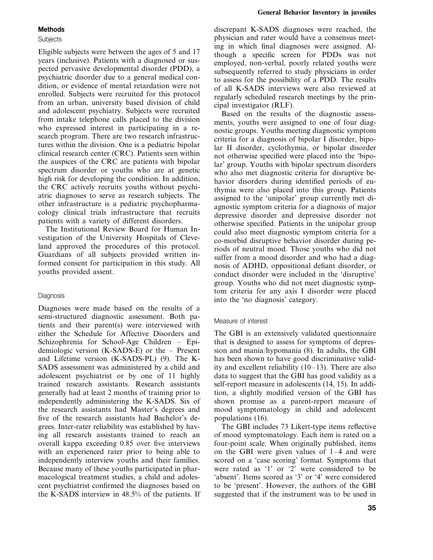#### **Methods**

#### **Subjects**

Eligible subjects were between the ages of 5 and 17 years (inclusive). Patients with a diagnosed or suspected pervasive developmental disorder (PDD), a psychiatric disorder due to a general medical condition, or evidence of mental retardation were not enrolled. Subjects were recruited for this protocol from an urban, university based division of child and adolescent psychiatry. Subjects were recruited from intake telephone calls placed to the division who expressed interest in participating in a research program. There are two research infrastructures within the division. One is a pediatric bipolar clinical research center (CRC). Patients seen within the auspices of the CRC are patients with bipolar spectrum disorder or youths who are at genetic high risk for developing the condition. In addition, the CRC actively recruits youths without psychiatric diagnoses to serve as research subjects. The other infrastructure is a pediatric psychopharmacology clinical trials infrastructure that recruits patients with a variety of different disorders.

The Institutional Review Board for Human Investigation of the University Hospitals of Cleveland approved the procedures of this protocol. Guardians of all subjects provided written informed consent for participation in this study. All youths provided assent.

# Diagnosis

Diagnoses were made based on the results of a semi-structured diagnostic assessment. Both patients and their parent(s) were interviewed with either the Schedule for Affective Disorders and Schizophrenia for School-Age Children – Epidemiologic version (K-SADS-E) or the – Present and Lifetime version (K-SADS-PL) (9). The K-SADS assessment was administered by a child and adolescent psychiatrist or by one of 11 highly trained research assistants. Research assistants generally had at least 2 months of training prior to independently administering the K-SADS. Six of the research assistants had Master's degrees and five of the research assistants had Bachelor's degrees. Inter-rater reliability was established by having all research assistants trained to reach an overall kappa exceeding 0.85 over five interviews with an experienced rater prior to being able to independently interview youths and their families. Because many of these youths participated in pharmacological treatment studies, a child and adolescent psychiatrist confirmed the diagnoses based on the K-SADS interview in 48.5% of the patients. If discrepant K-SADS diagnoses were reached, the physician and rater would have a consensus meeting in which final diagnoses were assigned. Although a specific screen for PDDs was not employed, non-verbal, poorly related youths were subsequently referred to study physicians in order to assess for the possibility of a PDD. The results of all K-SADS interviews were also reviewed at regularly scheduled research meetings by the principal investigator (RLF).

Based on the results of the diagnostic assessments, youths were assigned to one of four diagnostic groups. Youths meeting diagnostic symptom criteria for a diagnosis of bipolar I disorder, bipolar II disorder, cyclothymia, or bipolar disorder not otherwise specified were placed into the 'bipolar' group. Youths with bipolar spectrum disorders who also met diagnostic criteria for disruptive behavior disorders during identified periods of euthymia were also placed into this group. Patients assigned to the 'unipolar' group currently met diagnostic symptom criteria for a diagnosis of major depressive disorder and depressive disorder not otherwise specified. Patients in the unipolar group could also meet diagnostic symptom criteria for a co-morbid disruptive behavior disorder during periods of neutral mood. Those youths who did not suffer from a mood disorder and who had a diagnosis of ADHD, oppositional defiant disorder, or conduct disorder were included in the 'disruptive' group. Youths who did not meet diagnostic symptom criteria for any axis I disorder were placed into the 'no diagnosis' category.

#### Measure of interest

The GBI is an extensively validated questionnaire that is designed to assess for symptoms of depression and mania/hypomania (8). In adults, the GBI has been shown to have good discriminative validity and excellent reliability (10–13). There are also data to suggest that the GBI has good validity as a self-report measure in adolescents (14, 15). In addition, a slightly modified version of the GBI has shown promise as a parent-report measure of mood symptomatology in child and adolescent populations (16).

The GBI includes 73 Likert-type items reflective of mood symptomatology. Each item is rated on a four-point scale. When originally published, items on the GBI were given values of 1–4 and were scored on a 'case scoring' format. Symptoms that were rated as '1' or '2' were considered to be 'absent'. Items scored as '3' or '4' were considered to be 'present'. However, the authors of the GBI suggested that if the instrument was to be used in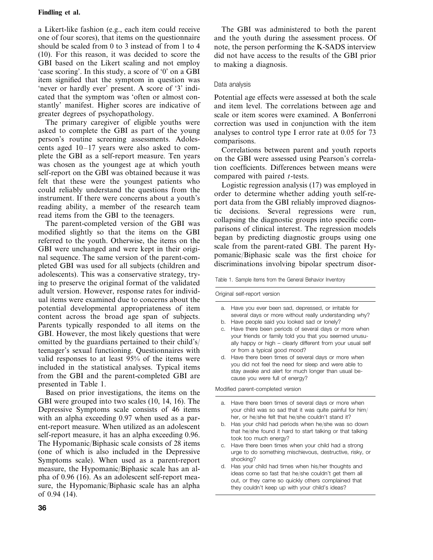## **Findling et al.**

a Likert-like fashion (e.g., each item could receive one of four scores), that items on the questionnaire should be scaled from 0 to 3 instead of from 1 to 4 (10). For this reason, it was decided to score the GBI based on the Likert scaling and not employ 'case scoring'. In this study, a score of '0' on a GBI item signified that the symptom in question was 'never or hardly ever' present. A score of '3' indicated that the symptom was 'often or almost constantly' manifest. Higher scores are indicative of greater degrees of psychopathology.

The primary caregiver of eligible youths were asked to complete the GBI as part of the young person's routine screening assessments. Adolescents aged 10–17 years were also asked to complete the GBI as a self-report measure. Ten years was chosen as the youngest age at which youth self-report on the GBI was obtained because it was felt that these were the youngest patients who could reliably understand the questions from the instrument. If there were concerns about a youth's reading ability, a member of the research team read items from the GBI to the teenagers.

The parent-completed version of the GBI was modified slightly so that the items on the GBI referred to the youth. Otherwise, the items on the GBI were unchanged and were kept in their original sequence. The same version of the parent-completed GBI was used for all subjects (children and adolescents). This was a conservative strategy, trying to preserve the original format of the validated adult version. However, response rates for individual items were examined due to concerns about the potential developmental appropriateness of item content across the broad age span of subjects. Parents typically responded to all items on the GBI. However, the most likely questions that were omitted by the guardians pertained to their child's/ teenager's sexual functioning. Questionnaires with valid responses to at least 95% of the items were included in the statistical analyses. Typical items from the GBI and the parent-completed GBI are presented in Table 1.

Based on prior investigations, the items on the GBI were grouped into two scales (10, 14, 16). The Depressive Symptoms scale consists of 46 items with an alpha exceeding 0.97 when used as a parent-report measure. When utilized as an adolescent self-report measure, it has an alpha exceeding 0.96. The Hypomanic/Biphasic scale consists of 28 items (one of which is also included in the Depressive Symptoms scale). When used as a parent-report measure, the Hypomanic/Biphasic scale has an alpha of 0.96 (16). As an adolescent self-report measure, the Hypomanic/Biphasic scale has an alpha of 0.94 (14).

The GBI was administered to both the parent and the youth during the assessment process. Of note, the person performing the K-SADS interview did not have access to the results of the GBI prior to making a diagnosis.

#### Data analysis

Potential age effects were assessed at both the scale and item level. The correlations between age and scale or item scores were examined. A Bonferroni correction was used in conjunction with the item analyses to control type I error rate at 0.05 for 73 comparisons.

Correlations between parent and youth reports on the GBI were assessed using Pearson's correlation coefficients. Differences between means were compared with paired *t*-tests.

Logistic regression analysis (17) was employed in order to determine whether adding youth self-report data from the GBI reliably improved diagnostic decisions. Several regressions were run, collapsing the diagnostic groups into specific comparisons of clinical interest. The regression models began by predicting diagnostic groups using one scale from the parent-rated GBI. The parent Hypomanic/Biphasic scale was the first choice for discriminations involving bipolar spectrum disor-

Table 1. Sample items from the General Behavior Inventory

Original self-report version

- a. Have you ever been sad, depressed, or irritable for several days or more without really understanding why?
- b. Have people said you looked sad or lonely?
- c. Have there been periods of several days or more when your friends or family told you that you seemed unusually happy or high – clearly different from your usual self or from a typical good mood?
- d. Have there been times of several days or more when you did not feel the need for sleep and were able to stay awake and alert for much longer than usual because you were full of energy?

Modified parent-completed version

- a. Have there been times of several days or more when your child was so sad that it was quite painful for him/ her, or he/she felt that he/she couldn't stand it?
- b. Has your child had periods when he/she was so down that he/she found it hard to start talking or that talking took too much energy?
- c. Have there been times when your child had a strong urge to do something mischievous, destructive, risky, or shocking?
- d. Has your child had times when his/her thoughts and ideas come so fast that he/she couldn't get them all out, or they came so quickly others complained that they couldn't keep up with your child's ideas?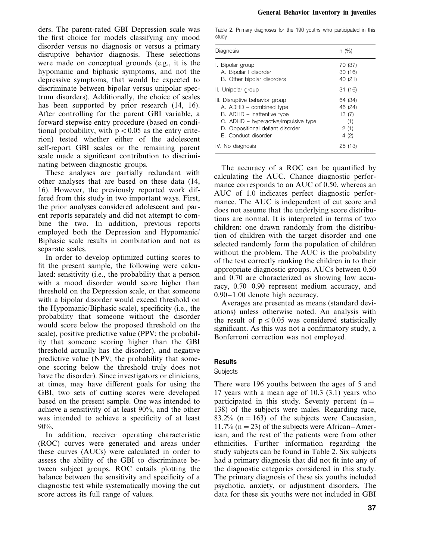ders. The parent-rated GBI Depression scale was the first choice for models classifying any mood disorder versus no diagnosis or versus a primary disruptive behavior diagnosis. These selections were made on conceptual grounds (e.g., it is the hypomanic and biphasic symptoms, and not the depressive symptoms, that would be expected to discriminate between bipolar versus unipolar spectrum disorders). Additionally, the choice of scales has been supported by prior research  $(14, 16)$ . After controlling for the parent GBI variable, a forward stepwise entry procedure (based on conditional probability, with  $p<0.05$  as the entry criterion) tested whether either of the adolescent self-report GBI scales or the remaining parent scale made a significant contribution to discriminating between diagnostic groups.

These analyses are partially redundant with other analyses that are based on these data (14, 16). However, the previously reported work differed from this study in two important ways. First, the prior analyses considered adolescent and parent reports separately and did not attempt to combine the two. In addition, previous reports employed both the Depression and Hypomanic/ Biphasic scale results in combination and not as separate scales.

In order to develop optimized cutting scores to fit the present sample, the following were calculated: sensitivity (i.e., the probability that a person with a mood disorder would score higher than threshold on the Depression scale, or that someone with a bipolar disorder would exceed threshold on the Hypomanic/Biphasic scale), specificity (i.e., the probability that someone without the disorder would score below the proposed threshold on the scale), positive predictive value (PPV; the probability that someone scoring higher than the GBI threshold actually has the disorder), and negative predictive value (NPV; the probability that someone scoring below the threshold truly does not have the disorder). Since investigators or clinicians, at times, may have different goals for using the GBI, two sets of cutting scores were developed based on the present sample. One was intended to achieve a sensitivity of at least 90%, and the other was intended to achieve a specificity of at least 90%.

In addition, receiver operating characteristic (ROC) curves were generated and areas under these curves (AUCs) were calculated in order to assess the ability of the GBI to discriminate between subject groups. ROC entails plotting the balance between the sensitivity and specificity of a diagnostic test while systematically moving the cut score across its full range of values.

Table 2. Primary diagnoses for the 190 youths who participated in this study

| Diagnosis                                                                                                                                                                                    | n(%)                                                |
|----------------------------------------------------------------------------------------------------------------------------------------------------------------------------------------------|-----------------------------------------------------|
| I. Bipolar group<br>A. Bipolar I disorder<br>B. Other bipolar disorders                                                                                                                      | 70 (37)<br>30(16)<br>40 (21)                        |
| II. Unipolar group                                                                                                                                                                           | 31(16)                                              |
| III. Disruptive behavior group<br>A. ADHD - combined type<br>$B.$ ADHD – inattentive type<br>C. ADHD - hyperactive/impulsive type<br>D. Oppositional defiant disorder<br>E. Conduct disorder | 64 (34)<br>46 (24)<br>13(7)<br>1(1)<br>2(1)<br>4(2) |
| IV. No diagnosis                                                                                                                                                                             | 25 (13)                                             |

The accuracy of a ROC can be quantified by calculating the AUC. Chance diagnostic performance corresponds to an AUC of 0.50, whereas an AUC of 1.0 indicates perfect diagnostic performance. The AUC is independent of cut score and does not assume that the underlying score distributions are normal. It is interpreted in terms of two children: one drawn randomly from the distribution of children with the target disorder and one selected randomly form the population of children without the problem. The AUC is the probability of the test correctly ranking the children in to their appropriate diagnostic groups. AUCs between 0.50 and 0.70 are characterized as showing low accuracy, 0.70–0.90 represent medium accuracy, and 0.90–1.00 denote high accuracy.

Averages are presented as means (standard deviations) unless otherwise noted. An analysis with the result of  $p \le 0.05$  was considered statistically significant. As this was not a confirmatory study, a Bonferroni correction was not employed.

#### **Results**

#### **Subjects**

There were 196 youths between the ages of 5 and 17 years with a mean age of 10.3 (3.1) years who participated in this study. Seventy percent  $(n=$ 138) of the subjects were males. Regarding race, 83.2% ( $n=163$ ) of the subjects were Caucasian, 11.7% ( $n = 23$ ) of the subjects were African–American, and the rest of the patients were from other ethnicities. Further information regarding the study subjects can be found in Table 2. Six subjects had a primary diagnosis that did not fit into any of the diagnostic categories considered in this study. The primary diagnosis of these six youths included psychotic, anxiety, or adjustment disorders. The data for these six youths were not included in GBI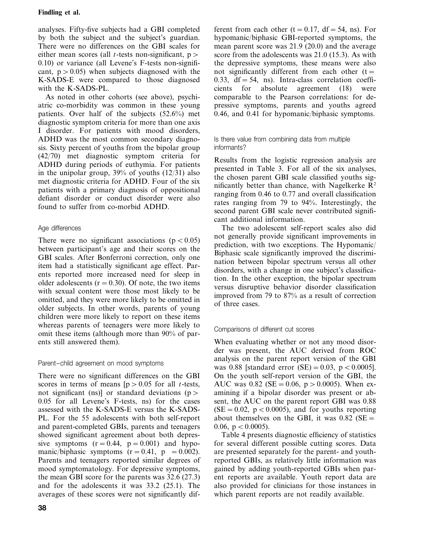#### **Findling et al.**

analyses. Fifty-five subjects had a GBI completed by both the subject and the subject's guardian. There were no differences on the GBI scales for either mean scores (all  $t$ -tests non-significant,  $p$  > 0.10) or variance (all Levene's F-tests non-significant,  $p > 0.05$ ) when subjects diagnosed with the K-SADS-E were compared to those diagnosed with the K-SADS-PL.

As noted in other cohorts (see above), psychiatric co-morbidity was common in these young patients. Over half of the subjects (52.6%) met diagnostic symptom criteria for more than one axis I disorder. For patients with mood disorders, ADHD was the most common secondary diagnosis. Sixty percent of youths from the bipolar group (42/70) met diagnostic symptom criteria for ADHD during periods of euthymia. For patients in the unipolar group, 39% of youths (12/31) also met diagnostic criteria for ADHD. Four of the six patients with a primary diagnosis of oppositional defiant disorder or conduct disorder were also found to suffer from co-morbid ADHD.

#### Age differences

There were no significant associations ( $p < 0.05$ ) between participant's age and their scores on the GBI scales. After Bonferroni correction, only one item had a statistically significant age effect. Parents reported more increased need for sleep in older adolescents  $(r=0.30)$ . Of note, the two items with sexual content were those most likely to be omitted, and they were more likely to be omitted in older subjects. In other words, parents of young children were more likely to report on these items whereas parents of teenagers were more likely to omit these items (although more than 90% of parents still answered them).

#### Parent–child agreement on mood symptoms

There were no significant differences on the GBI scores in terms of means  $[p>0.05$  for all *t*-tests, not significant (ns)] or standard deviations ( $p >$ 0.05 for all Levene's F-tests, ns) for the cases assessed with the K-SADS-E versus the K-SADS-PL. For the 55 adolescents with both self-report and parent-completed GBIs, parents and teenagers showed significant agreement about both depressive symptoms  $(r=0.44, p=0.001)$  and hypomanic/biphasic symptoms  $(r=0.41, p = 0.002)$ . Parents and teenagers reported similar degrees of mood symptomatology. For depressive symptoms, the mean GBI score for the parents was 32.6 (27.3) and for the adolescents it was 33.2 (25.1). The averages of these scores were not significantly different from each other  $(t=0.17, df=54, ns)$ . For hypomanic/biphasic GBI-reported symptoms, the mean parent score was 21.9 (20.0) and the average score from the adolescents was 21.0 (15.3). As with the depressive symptoms, these means were also not significantly different from each other  $(t=$ 0.33,  $df = 54$ , ns). Intra-class correlation coefficients for absolute agreement (18) were comparable to the Pearson correlations: for depressive symptoms, parents and youths agreed 0.46, and 0.41 for hypomanic/biphasic symptoms.

## Is there value from combining data from multiple informants?

Results from the logistic regression analysis are presented in Table 3. For all of the six analyses, the chosen parent GBI scale classified youths significantly better than chance, with Nagelkerke  $\mathbb{R}^2$ ranging from 0.46 to 0.77 and overall classification rates ranging from 79 to 94%. Interestingly, the second parent GBI scale never contributed significant additional information.

The two adolescent self-report scales also did not generally provide significant improvements in prediction, with two exceptions. The Hypomanic/ Biphasic scale significantly improved the discrimination between bipolar spectrum versus all other disorders, with a change in one subject's classification. In the other exception, the bipolar spectrum versus disruptive behavior disorder classification improved from 79 to 87% as a result of correction of three cases.

#### Comparisons of different cut scores

When evaluating whether or not any mood disorder was present, the AUC derived from ROC analysis on the parent report version of the GBI was 0.88 [standard error  $(SE) = 0.03$ , p < 0.0005]. On the youth self-report version of the GBI, the AUC was 0.82 (SE = 0.06,  $p > 0.0005$ ). When examining if a bipolar disorder was present or absent, the AUC on the parent report GBI was 0.88  $(SE = 0.02, p < 0.0005)$ , and for youths reporting about themselves on the GBI, it was  $0.82$  (SE = 0.06,  $p < 0.0005$ ).

Table 4 presents diagnostic efficiency of statistics for several different possible cutting scores. Data are presented separately for the parent- and youthreported GBIs, as relatively little information was gained by adding youth-reported GBIs when parent reports are available. Youth report data are also provided for clinicians for those instances in which parent reports are not readily available.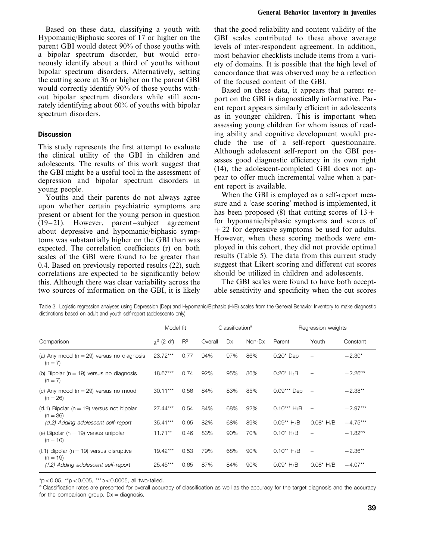Based on these data, classifying a youth with Hypomanic/Biphasic scores of 17 or higher on the parent GBI would detect 90% of those youths with a bipolar spectrum disorder, but would erroneously identify about a third of youths without bipolar spectrum disorders. Alternatively, setting the cutting score at 36 or higher on the parent GBI would correctly identify 90% of those youths without bipolar spectrum disorders while still accurately identifying about 60% of youths with bipolar spectrum disorders.

#### **Discussion**

This study represents the first attempt to evaluate the clinical utility of the GBI in children and adolescents. The results of this work suggest that the GBI might be a useful tool in the assessment of depression and bipolar spectrum disorders in young people.

Youths and their parents do not always agree upon whether certain psychiatric symptoms are present or absent for the young person in question (19–21). However, parent–subject agreement about depressive and hypomanic/biphasic symptoms was substantially higher on the GBI than was expected. The correlation coefficients (r) on both scales of the GBI were found to be greater than 0.4. Based on previously reported results (22), such correlations are expected to be significantly below this. Although there was clear variability across the two sources of information on the GBI, it is likely

that the good reliability and content validity of the GBI scales contributed to these above average levels of inter-respondent agreement. In addition, most behavior checklists include items from a variety of domains. It is possible that the high level of concordance that was observed may be a reflection of the focused content of the GBI.

Based on these data, it appears that parent report on the GBI is diagnostically informative. Parent report appears similarly efficient in adolescents as in younger children. This is important when assessing young children for whom issues of reading ability and cognitive development would preclude the use of a self-report questionnaire. Although adolescent self-report on the GBI possesses good diagnostic efficiency in its own right (14), the adolescent-completed GBI does not appear to offer much incremental value when a parent report is available.

When the GBI is employed as a self-report measure and a 'case scoring' method is implemented, it has been proposed (8) that cutting scores of  $13+$ for hypomanic/biphasic symptoms and scores of  $+22$  for depressive symptoms be used for adults. However, when these scoring methods were employed in this cohort, they did not provide optimal results (Table 5). The data from this current study suggest that Likert scoring and different cut scores should be utilized in children and adolescents.

The GBI scales were found to have both acceptable sensitivity and specificity when the cut scores

Table 3. Logistic regression analyses using Depression (Dep) and Hypomanic/Biphasic (H/B) scales from the General Behavior Inventory to make diagnostic distinctions based on adult and youth self-report (adolescents only)

|                                                            | Model fit       |       | Classification <sup>a</sup> |     |        | Regression weights |                          |            |  |
|------------------------------------------------------------|-----------------|-------|-----------------------------|-----|--------|--------------------|--------------------------|------------|--|
| Comparison                                                 | $\chi^2$ (2 df) | $R^2$ | Overall                     | Dx  | Non-Dx | Parent             | Youth                    | Constant   |  |
| (a) Any mood ( $n = 29$ ) versus no diagnosis<br>$(n = 7)$ | 23.72***        | 0.77  | 94%                         | 97% | 86%    | $0.20^*$ Dep       |                          | $-2.30*$   |  |
| (b) Bipolar ( $n = 19$ ) versus no diagnosis<br>$(n = 7)$  | $18.67***$      | 0.74  | 92%                         | 95% | 86%    | $0.20*$ H/B        |                          | $-2.26ns$  |  |
| (c) Any mood ( $n = 29$ ) versus no mood<br>$(n = 26)$     | $30.11***$      | 0.56  | 84%                         | 83% | 85%    | $0.09***$ Dep      | $\overline{\phantom{0}}$ | $-2.38**$  |  |
| $(d.1)$ Bipolar (n = 19) versus not bipolar<br>$(n = 36)$  | $27.44***$      | 0.54  | 84%                         | 68% | 92%    | $0.10***$ H/B      | -                        | $-2.97***$ |  |
| (d.2) Adding adolescent self-report                        | 35.41***        | 0.65  | 82%                         | 68% | 89%    | $0.09**$ H/B       | $0.08*$ H/B              | $-4.75***$ |  |
| (e) Bipolar ( $n = 19$ ) versus unipolar<br>$(n = 10)$     | $11.71**$       | 0.46  | 83%                         | 90% | 70%    | $0.10*$ H/B        |                          | $-1.82ns$  |  |
| $(f.1)$ Bipolar (n = 19) versus disruptive<br>$(n = 19)$   | $19.42***$      | 0.53  | 79%                         | 68% | 90%    | $0.10**$ H/B       | -                        | $-2.36**$  |  |
| (f.2) Adding adolescent self-report                        | 25.45***        | 0.65  | 87%                         | 84% | 90%    | $0.09*$ H/B        | $0.08*$ H/B              | $-4.07**$  |  |

 $*p$  < 0.05,  $*p$  < 0.005,  $**p$  < 0.0005, all two-tailed.

a Classification rates are presented for overall accuracy of classification as well as the accuracy for the target diagnosis and the accuracy for the comparison group.  $Dx =$  diagnosis.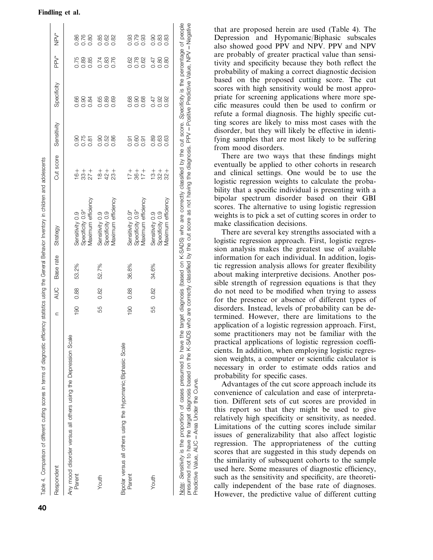| Respondent                                                               | C             | <b>AUC</b> | Base rate | Strategy                                                                         | Cut score                                 | Sensitivity                  | Specificity                  | È<br>PP∕                     | y<br>NPX                     |
|--------------------------------------------------------------------------|---------------|------------|-----------|----------------------------------------------------------------------------------|-------------------------------------------|------------------------------|------------------------------|------------------------------|------------------------------|
| Any mood disorder versus all others using the Depression Scale<br>Parent | $\frac{8}{1}$ | 0.88       | 53.2%     | Specificity 0.9*<br>Sensitivity 0.9                                              | $+01$<br>$33 +$                           | 0.75<br>8.o                  | 0.66<br>0.90                 | 0.75<br>0.89                 | 0.76<br>0.86                 |
| Youth                                                                    | 55            | 0.82       | 52.7%     | Maximum efficiency<br>Specificity 0.9<br>Sensitivity 0.9                         | $27 +$<br>$rac{+}{0}$<br>$42 +$<br>$23 +$ | 0.52<br>0.90<br>0.86<br>0.81 | 0.84<br>0.65<br>0.89<br>0.69 | 0.85<br>0.76<br>0.74<br>0.83 | 0.85<br>0.62<br>0.82<br>0.80 |
| Bipolar versus all others using the Hypomanic/Biphasic Scale<br>Parent   | 190           | 0.88       | 36.8%     | Maximum efficiency<br>Maximum efficiency<br>Specificity 0.9*<br>Sensitivity 0.9* | $\frac{+}{-}$<br>$+96$<br>$17 +$          | 0.60<br>5.0<br>0.91          | 0.68<br>0.90<br>0.68         | 0.62<br>0.78<br>0.62         | 0.79<br>0.93<br>0.93         |
| Youth                                                                    | 55            | 0.82       | 34.6%     | Maximum efficiency<br>Specificity 0.9<br>Sensitivity 0.9                         | $+81$<br>$32 +$<br>$32 +$                 | 0.89<br>0.63<br>0.63         | 0.47<br>0.92<br>0.92         | 0.47<br>0.80<br>0.80         | 0.83<br>0.83<br>8.o          |

that are proposed herein are used (Table 4). The Depression and Hypomanic/Biphasic subscales also showed good PPV and NPV. PPV and NPV are probably of greater practical value than sensitivity and specificity because they both reflect the probability of making a correct diagnostic decision based on the proposed cutting score. The cut scores with high sensitivity would be most appropriate for screening applications where more specific measures could then be used to confirm or refute a formal diagnosis. The highly specific cutting scores are likely to miss most cases with the disorder, but they will likely be effective in identifying samples that are most likely to be suffering from mood disorders.

There are two ways that these findings might eventually be applied to other cohorts in research and clinical settings. One would be to use the logistic regression weights to calculate the probability that a specific individual is presenting with a bipolar spectrum disorder based on their GBI scores. The alternative to using logistic regression weights is to pick a set of cutting scores in order to make classification decisions.

There are several key strengths associated with a logistic regression approach. First, logistic regression analysis makes the greatest use of available information for each individual. In addition, logistic regression analysis allows for greater flexibility about making interpretive decisions. Another possible strength of regression equations is that they do not need to be modified when trying to assess for the presence or absence of different types of disorders. Instead, levels of probability can be determined. However, there are limitations to the application of a logistic regression approach. First, some practitioners may not be familiar with the practical applications of logistic regression coefficients. In addition, when employing logistic regression weights, a computer or scientific calculator is necessary in order to estimate odds ratios and probability for specific cases.

Advantages of the cut score approach include its convenience of calculation and ease of interpretation. Different sets of cut scores are provided in this report so that they might be used to give relatively high specificity or sensitivity, as needed. Limitations of the cutting scores include similar issues of generalizability that also affect logistic regression. The appropriateness of the cutting scores that are suggested in this study depends on the similarity of subsequent cohorts to the sample used here. Some measures of diagnostic efficiency, such as the sensitivity and specificity, are theoretically independent of the base rate of diagnoses. However, the predictive value of different cutting

40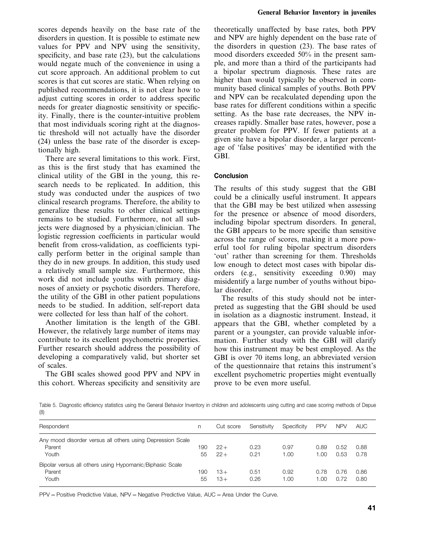scores depends heavily on the base rate of the disorders in question. It is possible to estimate new values for PPV and NPV using the sensitivity, specificity, and base rate (23), but the calculations would negate much of the convenience in using a cut score approach. An additional problem to cut scores is that cut scores are static. When relying on published recommendations, it is not clear how to adjust cutting scores in order to address specific needs for greater diagnostic sensitivity or specificity. Finally, there is the counter-intuitive problem that most individuals scoring right at the diagnostic threshold will not actually have the disorder (24) unless the base rate of the disorder is exceptionally high.

There are several limitations to this work. First, as this is the first study that has examined the clinical utility of the GBI in the young, this research needs to be replicated. In addition, this study was conducted under the auspices of two clinical research programs. Therefore, the ability to generalize these results to other clinical settings remains to be studied. Furthermore, not all subjects were diagnosed by a physician/clinician. The logistic regression coefficients in particular would benefit from cross-validation, as coefficients typically perform better in the original sample than they do in new groups. In addition, this study used a relatively small sample size. Furthermore, this work did not include youths with primary diagnoses of anxiety or psychotic disorders. Therefore, the utility of the GBI in other patient populations needs to be studied. In addition, self-report data were collected for less than half of the cohort.

Another limitation is the length of the GBI. However, the relatively large number of items may contribute to its excellent psychometric properties. Further research should address the possibility of developing a comparatively valid, but shorter set of scales.

The GBI scales showed good PPV and NPV in this cohort. Whereas specificity and sensitivity are

theoretically unaffected by base rates, both PPV and NPV are highly dependent on the base rate of the disorders in question (23). The base rates of mood disorders exceeded 50% in the present sample, and more than a third of the participants had a bipolar spectrum diagnosis. These rates are higher than would typically be observed in community based clinical samples of youths. Both PPV and NPV can be recalculated depending upon the base rates for different conditions within a specific setting. As the base rate decreases, the NPV increases rapidly. Smaller base rates, however, pose a greater problem for PPV. If fewer patients at a given site have a bipolar disorder, a larger percentage of 'false positives' may be identified with the GBI.

# **Conclusion**

The results of this study suggest that the GBI could be a clinically useful instrument. It appears that the GBI may be best utilized when assessing for the presence or absence of mood disorders, including bipolar spectrum disorders. In general, the GBI appears to be more specific than sensitive across the range of scores, making it a more powerful tool for ruling bipolar spectrum disorders 'out' rather than screening for them. Thresholds low enough to detect most cases with bipolar disorders (e.g., sensitivity exceeding 0.90) may misidentify a large number of youths without bipolar disorder.

The results of this study should not be interpreted as suggesting that the GBI should be used in isolation as a diagnostic instrument. Instead, it appears that the GBI, whether completed by a parent or a youngster, can provide valuable information. Further study with the GBI will clarify how this instrument may be best employed. As the GBI is over 70 items long, an abbreviated version of the questionnaire that retains this instrument's excellent psychometric properties might eventually prove to be even more useful.

Table 5. Diagnostic efficiency statistics using the General Behavior Inventory in children and adolescents using cutting and case scoring methods of Depue (8)

| Respondent                                                 | n   | Cut score | Sensitivity | Specificity | <b>PPV</b> | <b>NPV</b> | <b>AUC</b> |  |  |
|------------------------------------------------------------|-----|-----------|-------------|-------------|------------|------------|------------|--|--|
| Any mood disorder versus all others using Depression Scale |     |           |             |             |            |            |            |  |  |
| Parent                                                     | 190 | $22+$     | 0.23        | 0.97        | 0.89       | 0.52       | 0.88       |  |  |
| Youth                                                      | 55  | $22+$     | 0.21        | 0.00        | 1.00       | 0.53       | 0.78       |  |  |
| Bipolar versus all others using Hypomanic/Biphasic Scale   |     |           |             |             |            |            |            |  |  |
| Parent                                                     | 190 | $13+$     | 0.51        | 0.92        | 0.78       | 0.76       | 0.86       |  |  |
| Youth                                                      | 55  | $13+$     | 0.26        | .00         | 1.00       | 0.72       | 0.80       |  |  |

PPV = Positive Predictive Value, NPV = Negative Predictive Value, AUC = Area Under the Curve.